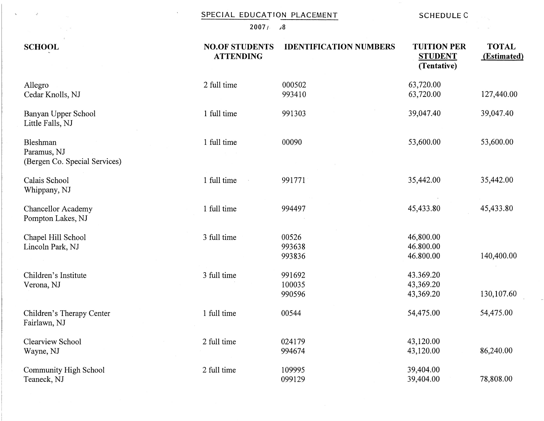|  |  |  |  | SPECIAL EDUCATION PLACEMENT |  | <b>SCHEDULE C</b> |
|--|--|--|--|-----------------------------|--|-------------------|
|--|--|--|--|-----------------------------|--|-------------------|

**20071** *ci8* 

| <b>SCHOOL</b>                                            | <b>NO.OF STUDENTS</b><br><b>ATTENDING</b> | <b>IDENTIFICATION NUMBERS</b> | <b>TUITION PER</b><br><b>STUDENT</b><br>(Tentative) | <b>TOTAL</b><br>(Estimated) |
|----------------------------------------------------------|-------------------------------------------|-------------------------------|-----------------------------------------------------|-----------------------------|
| Allegro<br>Cedar Knolls, NJ                              | 2 full time                               | 000502<br>993410              | 63,720.00<br>63,720.00                              | 127,440.00                  |
| Banyan Upper School<br>Little Falls, NJ                  | 1 full time                               | 991303                        | 39,047.40                                           | 39,047.40                   |
| Bleshman<br>Paramus, NJ<br>(Bergen Co. Special Services) | 1 full time                               | 00090                         | 53,600.00                                           | 53,600.00                   |
| Calais School<br>Whippany, NJ                            | 1 full time                               | 991771                        | 35,442.00                                           | 35,442.00                   |
| <b>Chancellor Academy</b><br>Pompton Lakes, NJ           | 1 full time                               | 994497                        | 45,433.80                                           | 45,433.80                   |
| Chapel Hill School<br>Lincoln Park, NJ                   | 3 full time                               | 00526<br>993638<br>993836     | 46,800.00<br>46.800.00<br>46.800.00                 | 140,400.00                  |
| Children's Institute<br>Verona, NJ                       | 3 full time                               | 991692<br>100035<br>990596    | 43.369.20<br>43,369.20<br>43,369.20                 | 130,107.60                  |
| Children's Therapy Center<br>Fairlawn, NJ                | 1 full time                               | 00544                         | 54,475.00                                           | 54,475.00                   |
| <b>Clearview School</b><br>Wayne, NJ                     | 2 full time                               | 024179<br>994674              | 43,120.00<br>43,120.00                              | 86,240.00                   |
| Community High School<br>Teaneck, NJ                     | 2 full time                               | 109995<br>099129              | 39,404.00<br>39,404.00                              | 78,808.00                   |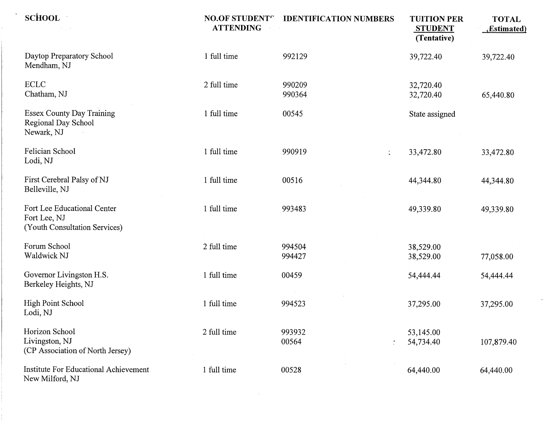| <b>SCHOOL</b>                                                                | <b>NO.OF STUDENT"</b><br><b>ATTENDING</b> | <b>IDENTIFICATION NUMBERS</b> | <b>TUITION PER</b><br><b>STUDENT</b><br>(Tentative) | <b>TOTAL</b><br>(Estimated. |
|------------------------------------------------------------------------------|-------------------------------------------|-------------------------------|-----------------------------------------------------|-----------------------------|
| Daytop Preparatory School<br>Mendham, NJ                                     | 1 full time                               | 992129                        | 39,722.40                                           | 39,722.40                   |
| <b>ECLC</b><br>Chatham, NJ                                                   | 2 full time                               | 990209<br>990364              | 32,720.40<br>32,720.40                              | 65,440.80                   |
| <b>Essex County Day Training</b><br>Regional Day School<br>Newark, NJ        | 1 full time                               | 00545                         | State assigned                                      |                             |
| Felician School<br>Lodi, NJ                                                  | 1 full time                               | 990919<br>t.                  | 33,472.80                                           | 33,472.80                   |
| First Cerebral Palsy of NJ<br>Belleville, NJ                                 | 1 full time                               | 00516                         | 44,344.80                                           | 44,344.80                   |
| Fort Lee Educational Center<br>Fort Lee, NJ<br>(Youth Consultation Services) | 1 full time                               | 993483                        | 49,339.80                                           | 49,339.80                   |
| Forum School<br>Waldwick NJ                                                  | 2 full time                               | 994504<br>994427              | 38,529.00<br>38,529.00                              | 77,058.00                   |
| Governor Livingston H.S.<br>Berkeley Heights, NJ                             | 1 full time                               | 00459                         | 54,444.44                                           | 54,444.44                   |
| <b>High Point School</b><br>Lodi, NJ                                         | 1 full time                               | 994523                        | 37,295.00                                           | 37,295.00                   |
| Horizon School<br>Livingston, NJ<br>(CP Association of North Jersey)         | 2 full time                               | 993932<br>00564               | 53,145.00<br>54,734.40                              | 107,879.40                  |
| <b>Institute For Educational Achievement</b><br>New Milford, NJ              | 1 full time                               | 00528                         | 64,440.00                                           | 64,440.00                   |

 $\label{eq:2.1} \mathcal{L}(\mathcal{L}^{\text{max}}_{\mathcal{L}}(\mathcal{L}^{\text{max}}_{\mathcal{L}}),\mathcal{L}^{\text{max}}_{\mathcal{L}}(\mathcal{L}^{\text{max}}_{\mathcal{L}}))$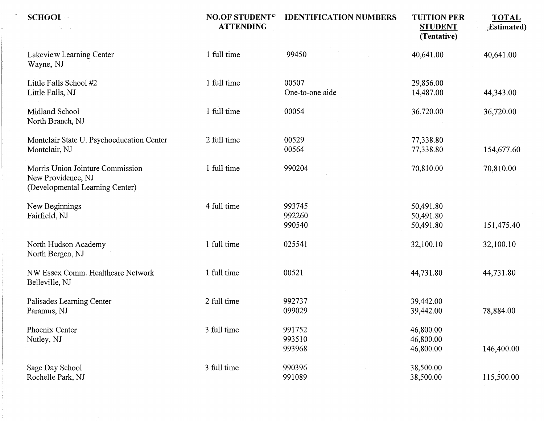| $SCHOOI -$                                                                                | <b>NO.OF STUDENT<sup>e</sup></b><br><b>ATTENDING</b> | <b>IDENTIFICATION NUMBERS</b>            | <b>TUITION PER</b><br><b>STUDENT</b><br>(Tentative) | <b>TOTAL</b><br><b>Estimated</b> ) |
|-------------------------------------------------------------------------------------------|------------------------------------------------------|------------------------------------------|-----------------------------------------------------|------------------------------------|
| Lakeview Learning Center<br>Wayne, NJ                                                     | 1 full time                                          | 99450                                    | 40,641.00                                           | 40,641.00                          |
| Little Falls School #2<br>Little Falls, NJ                                                | 1 full time                                          | 00507<br>One-to-one aide                 | 29,856.00<br>14,487.00                              | 44,343.00                          |
| Midland School<br>North Branch, NJ                                                        | 1 full time                                          | 00054                                    | 36,720.00                                           | 36,720.00                          |
| Montclair State U. Psychoeducation Center<br>Montclair, NJ                                | 2 full time                                          | 00529<br>00564                           | 77,338.80<br>77,338.80                              | 154,677.60                         |
| Morris Union Jointure Commission<br>New Providence, NJ<br>(Developmental Learning Center) | 1 full time                                          | 990204                                   | 70,810.00                                           | 70,810.00                          |
| New Beginnings<br>Fairfield, NJ                                                           | 4 full time                                          | 993745<br>992260<br>990540               | 50,491.80<br>50,491.80<br>50,491.80                 | 151,475.40                         |
| North Hudson Academy<br>North Bergen, NJ                                                  | 1 full time                                          | 025541                                   | 32,100.10                                           | 32,100.10                          |
| NW Essex Comm. Healthcare Network<br>Belleville, NJ                                       | 1 full time                                          | 00521                                    | 44,731.80                                           | 44,731.80                          |
| Palisades Learning Center<br>Paramus, NJ                                                  | 2 full time                                          | 992737<br>099029                         | 39,442.00<br>39,442.00                              | 78,884.00                          |
| Phoenix Center<br>Nutley, NJ                                                              | 3 full time                                          | 991752<br>993510<br>$\omega$ .<br>993968 | 46,800.00<br>46,800.00<br>46,800.00                 | 146,400.00                         |
| Sage Day School<br>Rochelle Park, NJ                                                      | 3 full time                                          | 990396<br>991089                         | 38,500.00<br>38,500.00                              | 115,500.00                         |

 $\label{eq:2.1} \frac{1}{\sqrt{2}}\left(\frac{1}{\sqrt{2}}\right)^{2} \left(\frac{1}{\sqrt{2}}\right)^{2} \left(\frac{1}{\sqrt{2}}\right)^{2} \left(\frac{1}{\sqrt{2}}\right)^{2} \left(\frac{1}{\sqrt{2}}\right)^{2} \left(\frac{1}{\sqrt{2}}\right)^{2} \left(\frac{1}{\sqrt{2}}\right)^{2} \left(\frac{1}{\sqrt{2}}\right)^{2} \left(\frac{1}{\sqrt{2}}\right)^{2} \left(\frac{1}{\sqrt{2}}\right)^{2} \left(\frac{1}{\sqrt{2}}\right)^{2} \left(\$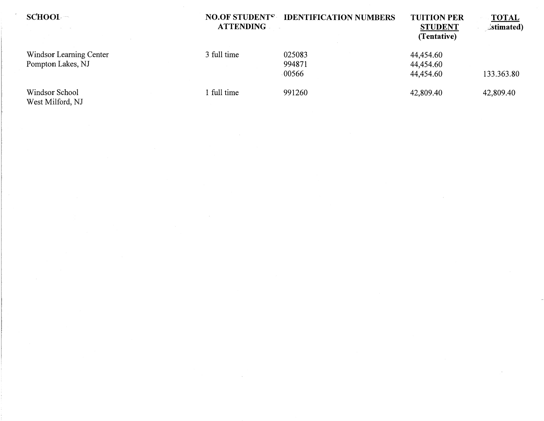| SCHOOL                                       | <b>NO.OF STUDENTS</b><br><b>ATTENDING</b> | <b>IDENTIFICATION NUMBERS</b> | <b>TUITION PER</b><br><b>STUDENT</b><br>(Tentative) | <b>TOTAL</b><br>$\exists$ stimated) |
|----------------------------------------------|-------------------------------------------|-------------------------------|-----------------------------------------------------|-------------------------------------|
| Windsor Learning Center<br>Pompton Lakes, NJ | 3 full time                               | 025083<br>994871<br>$-00566$  | 44,454.60<br>44,454.60<br>44,454.60                 | 133.363.80                          |
| Windsor School<br>West Milford, NJ           | 1 full time                               | 991260                        | 42,809.40                                           | 42,809.40                           |

 $\sim 10^{-1}$ 

 $\sim$ 

 $\sim$